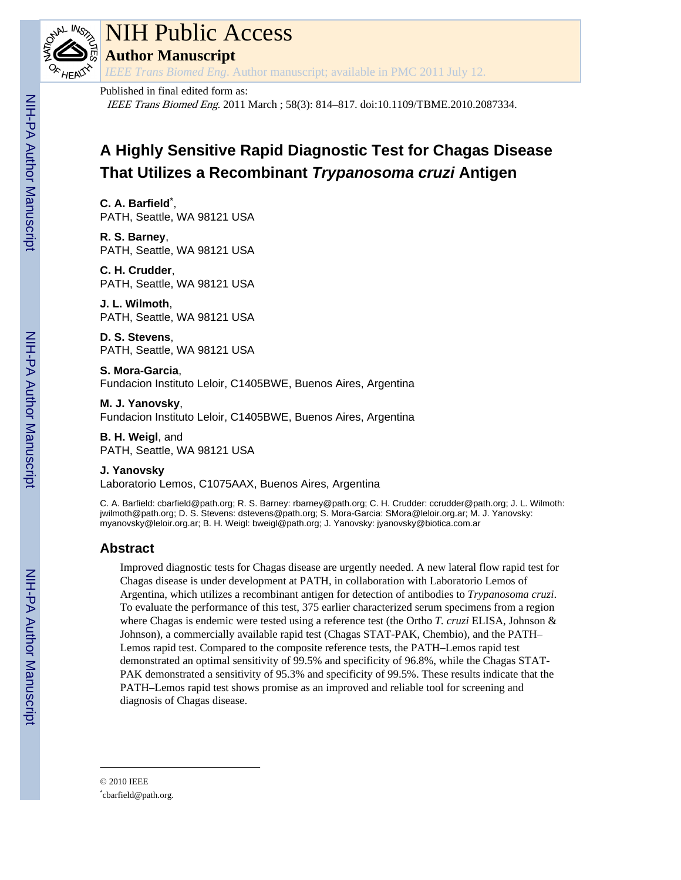

# NIH Public Access

**Author Manuscript**

*IEEE Trans Biomed Eng*. Author manuscript; available in PMC 2011 July 12.

## Published in final edited form as:

IEEE Trans Biomed Eng. 2011 March ; 58(3): 814–817. doi:10.1109/TBME.2010.2087334.

## **A Highly Sensitive Rapid Diagnostic Test for Chagas Disease That Utilizes a Recombinant** *Trypanosoma cruzi* **Antigen**

**C. A. Barfield**\* ,

PATH, Seattle, WA 98121 USA

**R. S. Barney**, PATH, Seattle, WA 98121 USA

**C. H. Crudder**, PATH, Seattle, WA 98121 USA

**J. L. Wilmoth**, PATH, Seattle, WA 98121 USA

**D. S. Stevens**, PATH, Seattle, WA 98121 USA

**S. Mora-Garcia**, Fundacion Instituto Leloir, C1405BWE, Buenos Aires, Argentina

**M. J. Yanovsky**, Fundacion Instituto Leloir, C1405BWE, Buenos Aires, Argentina

**B. H. Weigl**, and PATH, Seattle, WA 98121 USA

## **J. Yanovsky**

Laboratorio Lemos, C1075AAX, Buenos Aires, Argentina

C. A. Barfield: cbarfield@path.org; R. S. Barney: rbarney@path.org; C. H. Crudder: ccrudder@path.org; J. L. Wilmoth: jwilmoth@path.org; D. S. Stevens: dstevens@path.org; S. Mora-Garcia: SMora@leloir.org.ar; M. J. Yanovsky: myanovsky@leloir.org.ar; B. H. Weigl: bweigl@path.org; J. Yanovsky: jyanovsky@biotica.com.ar

## **Abstract**

Improved diagnostic tests for Chagas disease are urgently needed. A new lateral flow rapid test for Chagas disease is under development at PATH, in collaboration with Laboratorio Lemos of Argentina, which utilizes a recombinant antigen for detection of antibodies to *Trypanosoma cruzi*. To evaluate the performance of this test, 375 earlier characterized serum specimens from a region where Chagas is endemic were tested using a reference test (the Ortho *T. cruzi* ELISA, Johnson & Johnson), a commercially available rapid test (Chagas STAT-PAK, Chembio), and the PATH– Lemos rapid test. Compared to the composite reference tests, the PATH–Lemos rapid test demonstrated an optimal sensitivity of 99.5% and specificity of 96.8%, while the Chagas STAT-PAK demonstrated a sensitivity of 95.3% and specificity of 99.5%. These results indicate that the PATH–Lemos rapid test shows promise as an improved and reliable tool for screening and diagnosis of Chagas disease.

© 2010 IEEE \* cbarfield@path.org.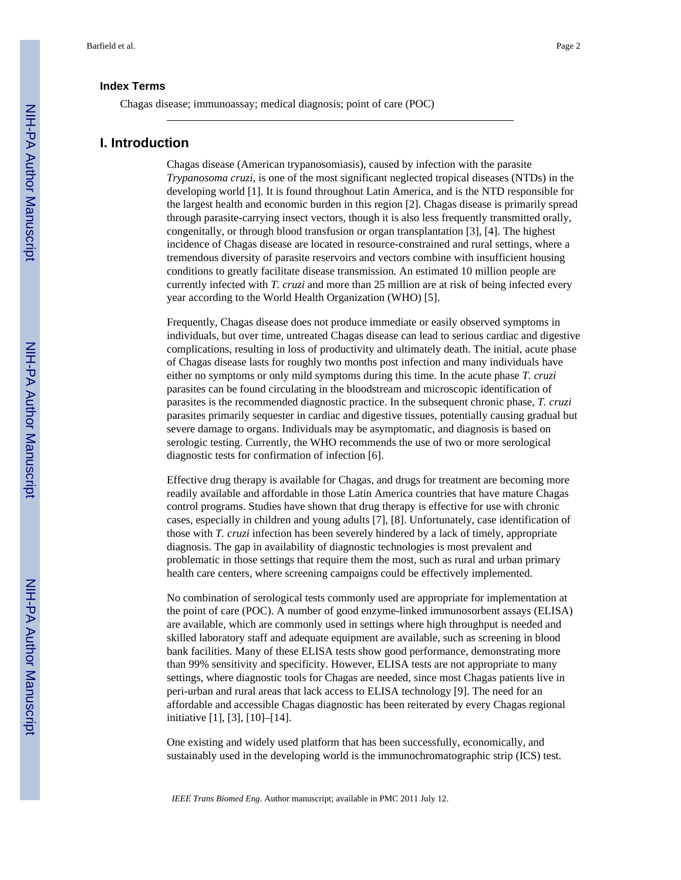Chagas disease; immunoassay; medical diagnosis; point of care (POC)

## **I. Introduction**

Chagas disease (American trypanosomiasis), caused by infection with the parasite *Trypanosoma cruzi*, is one of the most significant neglected tropical diseases (NTDs) in the developing world [1]. It is found throughout Latin America, and is the NTD responsible for the largest health and economic burden in this region [2]. Chagas disease is primarily spread through parasite-carrying insect vectors, though it is also less frequently transmitted orally, congenitally, or through blood transfusion or organ transplantation [3], [4]. The highest incidence of Chagas disease are located in resource-constrained and rural settings, where a tremendous diversity of parasite reservoirs and vectors combine with insufficient housing conditions to greatly facilitate disease transmission. An estimated 10 million people are currently infected with *T. cruzi* and more than 25 million are at risk of being infected every year according to the World Health Organization (WHO) [5].

Frequently, Chagas disease does not produce immediate or easily observed symptoms in individuals, but over time, untreated Chagas disease can lead to serious cardiac and digestive complications, resulting in loss of productivity and ultimately death. The initial, acute phase of Chagas disease lasts for roughly two months post infection and many individuals have either no symptoms or only mild symptoms during this time. In the acute phase *T. cruzi* parasites can be found circulating in the bloodstream and microscopic identification of parasites is the recommended diagnostic practice. In the subsequent chronic phase, *T. cruzi* parasites primarily sequester in cardiac and digestive tissues, potentially causing gradual but severe damage to organs. Individuals may be asymptomatic, and diagnosis is based on serologic testing. Currently, the WHO recommends the use of two or more serological diagnostic tests for confirmation of infection [6].

Effective drug therapy is available for Chagas, and drugs for treatment are becoming more readily available and affordable in those Latin America countries that have mature Chagas control programs. Studies have shown that drug therapy is effective for use with chronic cases, especially in children and young adults [7], [8]. Unfortunately, case identification of those with *T. cruzi* infection has been severely hindered by a lack of timely, appropriate diagnosis. The gap in availability of diagnostic technologies is most prevalent and problematic in those settings that require them the most, such as rural and urban primary health care centers, where screening campaigns could be effectively implemented.

No combination of serological tests commonly used are appropriate for implementation at the point of care (POC). A number of good enzyme-linked immunosorbent assays (ELISA) are available, which are commonly used in settings where high throughput is needed and skilled laboratory staff and adequate equipment are available, such as screening in blood bank facilities. Many of these ELISA tests show good performance, demonstrating more than 99% sensitivity and specificity. However, ELISA tests are not appropriate to many settings, where diagnostic tools for Chagas are needed, since most Chagas patients live in peri-urban and rural areas that lack access to ELISA technology [9]. The need for an affordable and accessible Chagas diagnostic has been reiterated by every Chagas regional initiative [1], [3], [10]–[14].

One existing and widely used platform that has been successfully, economically, and sustainably used in the developing world is the immunochromatographic strip (ICS) test.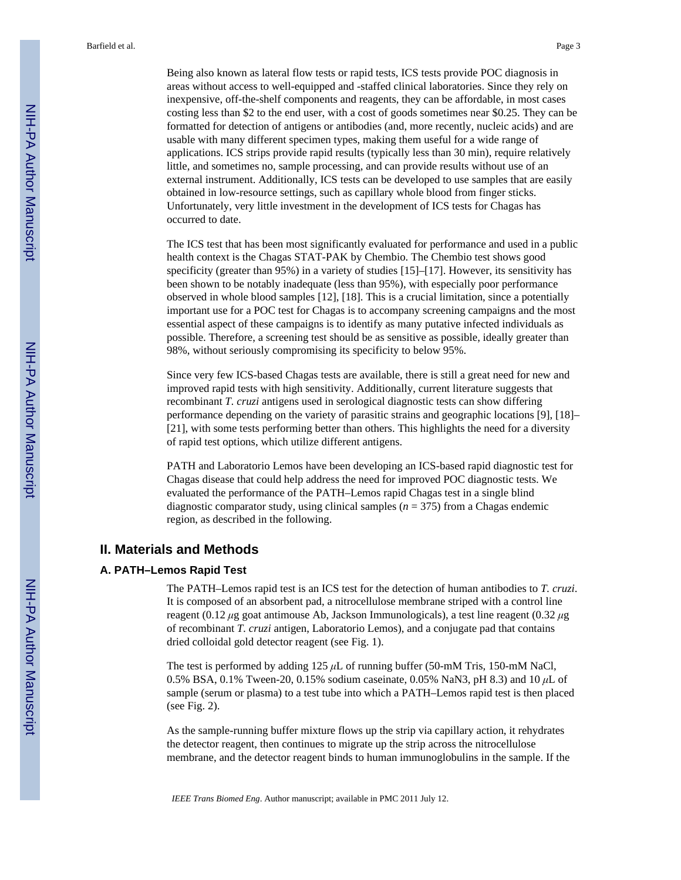Being also known as lateral flow tests or rapid tests, ICS tests provide POC diagnosis in areas without access to well-equipped and -staffed clinical laboratories. Since they rely on inexpensive, off-the-shelf components and reagents, they can be affordable, in most cases costing less than \$2 to the end user, with a cost of goods sometimes near \$0.25. They can be formatted for detection of antigens or antibodies (and, more recently, nucleic acids) and are usable with many different specimen types, making them useful for a wide range of applications. ICS strips provide rapid results (typically less than 30 min), require relatively little, and sometimes no, sample processing, and can provide results without use of an external instrument. Additionally, ICS tests can be developed to use samples that are easily obtained in low-resource settings, such as capillary whole blood from finger sticks. Unfortunately, very little investment in the development of ICS tests for Chagas has occurred to date.

The ICS test that has been most significantly evaluated for performance and used in a public health context is the Chagas STAT-PAK by Chembio. The Chembio test shows good specificity (greater than 95%) in a variety of studies [15]–[17]. However, its sensitivity has been shown to be notably inadequate (less than 95%), with especially poor performance observed in whole blood samples [12], [18]. This is a crucial limitation, since a potentially important use for a POC test for Chagas is to accompany screening campaigns and the most essential aspect of these campaigns is to identify as many putative infected individuals as possible. Therefore, a screening test should be as sensitive as possible, ideally greater than 98%, without seriously compromising its specificity to below 95%.

Since very few ICS-based Chagas tests are available, there is still a great need for new and improved rapid tests with high sensitivity. Additionally, current literature suggests that recombinant *T. cruzi* antigens used in serological diagnostic tests can show differing performance depending on the variety of parasitic strains and geographic locations [9], [18]– [21], with some tests performing better than others. This highlights the need for a diversity of rapid test options, which utilize different antigens.

PATH and Laboratorio Lemos have been developing an ICS-based rapid diagnostic test for Chagas disease that could help address the need for improved POC diagnostic tests. We evaluated the performance of the PATH–Lemos rapid Chagas test in a single blind diagnostic comparator study, using clinical samples (*n* = 375) from a Chagas endemic region, as described in the following.

## **II. Materials and Methods**

#### **A. PATH–Lemos Rapid Test**

The PATH–Lemos rapid test is an ICS test for the detection of human antibodies to *T. cruzi*. It is composed of an absorbent pad, a nitrocellulose membrane striped with a control line reagent (0.12 *μ*g goat antimouse Ab, Jackson Immunologicals), a test line reagent (0.32 *μ*g of recombinant *T. cruzi* antigen, Laboratorio Lemos), and a conjugate pad that contains dried colloidal gold detector reagent (see Fig. 1).

The test is performed by adding 125 *μ*L of running buffer (50-mM Tris, 150-mM NaCl, 0.5% BSA, 0.1% Tween-20, 0.15% sodium caseinate, 0.05% NaN3, pH 8.3) and 10 *μ*L of sample (serum or plasma) to a test tube into which a PATH–Lemos rapid test is then placed (see Fig. 2).

As the sample-running buffer mixture flows up the strip via capillary action, it rehydrates the detector reagent, then continues to migrate up the strip across the nitrocellulose membrane, and the detector reagent binds to human immunoglobulins in the sample. If the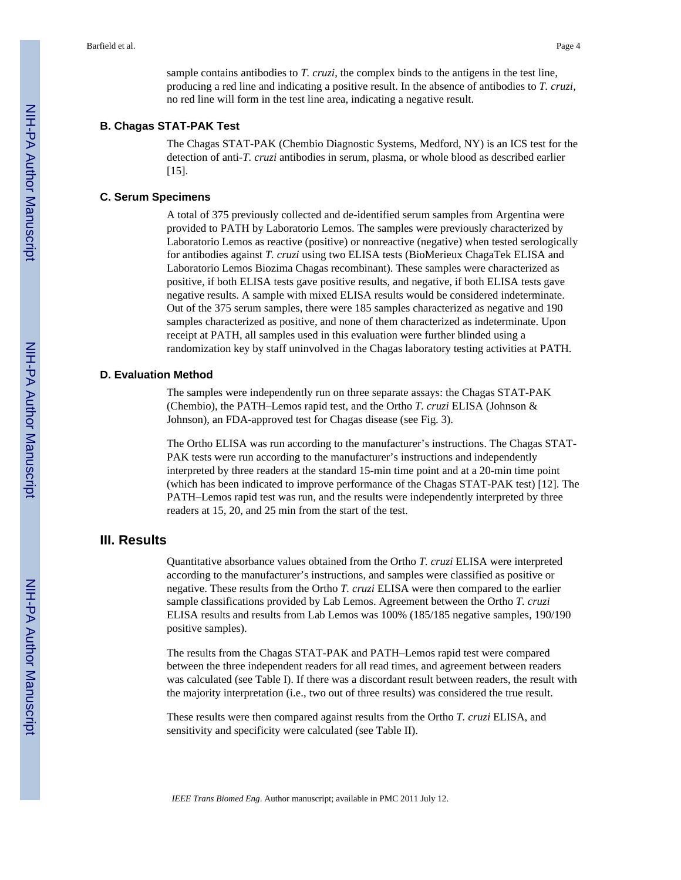sample contains antibodies to *T. cruzi*, the complex binds to the antigens in the test line, producing a red line and indicating a positive result. In the absence of antibodies to *T. cruzi,* no red line will form in the test line area, indicating a negative result.

#### **B. Chagas STAT-PAK Test**

The Chagas STAT-PAK (Chembio Diagnostic Systems, Medford, NY) is an ICS test for the detection of anti-*T. cruzi* antibodies in serum, plasma, or whole blood as described earlier [15].

#### **C. Serum Specimens**

A total of 375 previously collected and de-identified serum samples from Argentina were provided to PATH by Laboratorio Lemos. The samples were previously characterized by Laboratorio Lemos as reactive (positive) or nonreactive (negative) when tested serologically for antibodies against *T. cruzi* using two ELISA tests (BioMerieux ChagaTek ELISA and Laboratorio Lemos Biozima Chagas recombinant). These samples were characterized as positive, if both ELISA tests gave positive results, and negative, if both ELISA tests gave negative results. A sample with mixed ELISA results would be considered indeterminate. Out of the 375 serum samples, there were 185 samples characterized as negative and 190 samples characterized as positive, and none of them characterized as indeterminate. Upon receipt at PATH, all samples used in this evaluation were further blinded using a randomization key by staff uninvolved in the Chagas laboratory testing activities at PATH.

#### **D. Evaluation Method**

The samples were independently run on three separate assays: the Chagas STAT-PAK (Chembio), the PATH–Lemos rapid test, and the Ortho *T. cruzi* ELISA (Johnson & Johnson), an FDA-approved test for Chagas disease (see Fig. 3).

The Ortho ELISA was run according to the manufacturer's instructions. The Chagas STAT-PAK tests were run according to the manufacturer's instructions and independently interpreted by three readers at the standard 15-min time point and at a 20-min time point (which has been indicated to improve performance of the Chagas STAT-PAK test) [12]. The PATH–Lemos rapid test was run, and the results were independently interpreted by three readers at 15, 20, and 25 min from the start of the test.

## **III. Results**

Quantitative absorbance values obtained from the Ortho *T. cruzi* ELISA were interpreted according to the manufacturer's instructions, and samples were classified as positive or negative. These results from the Ortho *T. cruzi* ELISA were then compared to the earlier sample classifications provided by Lab Lemos. Agreement between the Ortho *T. cruzi* ELISA results and results from Lab Lemos was 100% (185/185 negative samples, 190/190 positive samples).

The results from the Chagas STAT-PAK and PATH–Lemos rapid test were compared between the three independent readers for all read times, and agreement between readers was calculated (see Table I). If there was a discordant result between readers, the result with the majority interpretation (i.e., two out of three results) was considered the true result.

These results were then compared against results from the Ortho *T. cruzi* ELISA, and sensitivity and specificity were calculated (see Table II).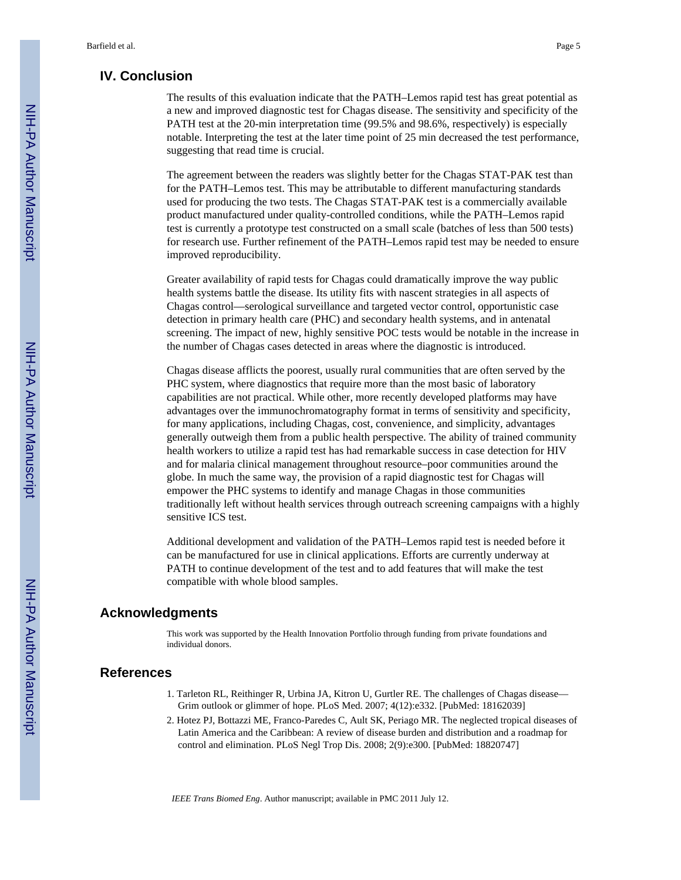## **IV. Conclusion**

The results of this evaluation indicate that the PATH–Lemos rapid test has great potential as a new and improved diagnostic test for Chagas disease. The sensitivity and specificity of the PATH test at the 20-min interpretation time (99.5% and 98.6%, respectively) is especially notable. Interpreting the test at the later time point of 25 min decreased the test performance, suggesting that read time is crucial.

The agreement between the readers was slightly better for the Chagas STAT-PAK test than for the PATH–Lemos test. This may be attributable to different manufacturing standards used for producing the two tests. The Chagas STAT-PAK test is a commercially available product manufactured under quality-controlled conditions, while the PATH–Lemos rapid test is currently a prototype test constructed on a small scale (batches of less than 500 tests) for research use. Further refinement of the PATH–Lemos rapid test may be needed to ensure improved reproducibility.

Greater availability of rapid tests for Chagas could dramatically improve the way public health systems battle the disease. Its utility fits with nascent strategies in all aspects of Chagas control—serological surveillance and targeted vector control, opportunistic case detection in primary health care (PHC) and secondary health systems, and in antenatal screening. The impact of new, highly sensitive POC tests would be notable in the increase in the number of Chagas cases detected in areas where the diagnostic is introduced.

Chagas disease afflicts the poorest, usually rural communities that are often served by the PHC system, where diagnostics that require more than the most basic of laboratory capabilities are not practical. While other, more recently developed platforms may have advantages over the immunochromatography format in terms of sensitivity and specificity, for many applications, including Chagas, cost, convenience, and simplicity, advantages generally outweigh them from a public health perspective. The ability of trained community health workers to utilize a rapid test has had remarkable success in case detection for HIV and for malaria clinical management throughout resource–poor communities around the globe. In much the same way, the provision of a rapid diagnostic test for Chagas will empower the PHC systems to identify and manage Chagas in those communities traditionally left without health services through outreach screening campaigns with a highly sensitive ICS test.

Additional development and validation of the PATH–Lemos rapid test is needed before it can be manufactured for use in clinical applications. Efforts are currently underway at PATH to continue development of the test and to add features that will make the test compatible with whole blood samples.

### **Acknowledgments**

This work was supported by the Health Innovation Portfolio through funding from private foundations and individual donors.

#### **References**

- 1. Tarleton RL, Reithinger R, Urbina JA, Kitron U, Gurtler RE. The challenges of Chagas disease— Grim outlook or glimmer of hope. PLoS Med. 2007; 4(12):e332. [PubMed: 18162039]
- 2. Hotez PJ, Bottazzi ME, Franco-Paredes C, Ault SK, Periago MR. The neglected tropical diseases of Latin America and the Caribbean: A review of disease burden and distribution and a roadmap for control and elimination. PLoS Negl Trop Dis. 2008; 2(9):e300. [PubMed: 18820747]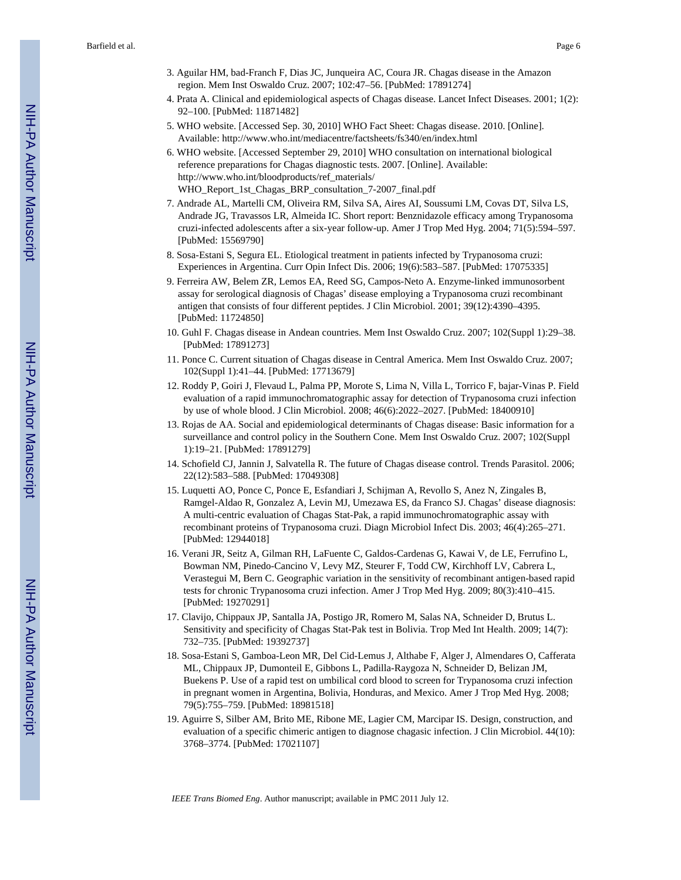- 3. Aguilar HM, bad-Franch F, Dias JC, Junqueira AC, Coura JR. Chagas disease in the Amazon region. Mem Inst Oswaldo Cruz. 2007; 102:47–56. [PubMed: 17891274]
- 4. Prata A. Clinical and epidemiological aspects of Chagas disease. Lancet Infect Diseases. 2001; 1(2): 92–100. [PubMed: 11871482]
- 5. WHO website. [Accessed Sep. 30, 2010] WHO Fact Sheet: Chagas disease. 2010. [Online]. Available: <http://www.who.int/mediacentre/factsheets/fs340/en/index.html>
- 6. WHO website. [Accessed September 29, 2010] WHO consultation on international biological reference preparations for Chagas diagnostic tests. 2007. [Online]. Available: [http://www.who.int/bloodproducts/ref\\_materials/](http://www.who.int/bloodproducts/ref_materials/WHO_Report_1st_Chagas_BRP_consultation_7-2007_final.pdf) [WHO\\_Report\\_1st\\_Chagas\\_BRP\\_consultation\\_7-2007\\_final.pdf](http://www.who.int/bloodproducts/ref_materials/WHO_Report_1st_Chagas_BRP_consultation_7-2007_final.pdf)
- 7. Andrade AL, Martelli CM, Oliveira RM, Silva SA, Aires AI, Soussumi LM, Covas DT, Silva LS, Andrade JG, Travassos LR, Almeida IC. Short report: Benznidazole efficacy among Trypanosoma cruzi-infected adolescents after a six-year follow-up. Amer J Trop Med Hyg. 2004; 71(5):594–597. [PubMed: 15569790]
- 8. Sosa-Estani S, Segura EL. Etiological treatment in patients infected by Trypanosoma cruzi: Experiences in Argentina. Curr Opin Infect Dis. 2006; 19(6):583–587. [PubMed: 17075335]
- 9. Ferreira AW, Belem ZR, Lemos EA, Reed SG, Campos-Neto A. Enzyme-linked immunosorbent assay for serological diagnosis of Chagas' disease employing a Trypanosoma cruzi recombinant antigen that consists of four different peptides. J Clin Microbiol. 2001; 39(12):4390–4395. [PubMed: 11724850]
- 10. Guhl F. Chagas disease in Andean countries. Mem Inst Oswaldo Cruz. 2007; 102(Suppl 1):29–38. [PubMed: 17891273]
- 11. Ponce C. Current situation of Chagas disease in Central America. Mem Inst Oswaldo Cruz. 2007; 102(Suppl 1):41–44. [PubMed: 17713679]
- 12. Roddy P, Goiri J, Flevaud L, Palma PP, Morote S, Lima N, Villa L, Torrico F, bajar-Vinas P. Field evaluation of a rapid immunochromatographic assay for detection of Trypanosoma cruzi infection by use of whole blood. J Clin Microbiol. 2008; 46(6):2022–2027. [PubMed: 18400910]
- 13. Rojas de AA. Social and epidemiological determinants of Chagas disease: Basic information for a surveillance and control policy in the Southern Cone. Mem Inst Oswaldo Cruz. 2007; 102(Suppl 1):19–21. [PubMed: 17891279]
- 14. Schofield CJ, Jannin J, Salvatella R. The future of Chagas disease control. Trends Parasitol. 2006; 22(12):583–588. [PubMed: 17049308]
- 15. Luquetti AO, Ponce C, Ponce E, Esfandiari J, Schijman A, Revollo S, Anez N, Zingales B, Ramgel-Aldao R, Gonzalez A, Levin MJ, Umezawa ES, da Franco SJ. Chagas' disease diagnosis: A multi-centric evaluation of Chagas Stat-Pak, a rapid immunochromatographic assay with recombinant proteins of Trypanosoma cruzi. Diagn Microbiol Infect Dis. 2003; 46(4):265–271. [PubMed: 12944018]
- 16. Verani JR, Seitz A, Gilman RH, LaFuente C, Galdos-Cardenas G, Kawai V, de LE, Ferrufino L, Bowman NM, Pinedo-Cancino V, Levy MZ, Steurer F, Todd CW, Kirchhoff LV, Cabrera L, Verastegui M, Bern C. Geographic variation in the sensitivity of recombinant antigen-based rapid tests for chronic Trypanosoma cruzi infection. Amer J Trop Med Hyg. 2009; 80(3):410–415. [PubMed: 19270291]
- 17. Clavijo, Chippaux JP, Santalla JA, Postigo JR, Romero M, Salas NA, Schneider D, Brutus L. Sensitivity and specificity of Chagas Stat-Pak test in Bolivia. Trop Med Int Health. 2009; 14(7): 732–735. [PubMed: 19392737]
- 18. Sosa-Estani S, Gamboa-Leon MR, Del Cid-Lemus J, Althabe F, Alger J, Almendares O, Cafferata ML, Chippaux JP, Dumonteil E, Gibbons L, Padilla-Raygoza N, Schneider D, Belizan JM, Buekens P. Use of a rapid test on umbilical cord blood to screen for Trypanosoma cruzi infection in pregnant women in Argentina, Bolivia, Honduras, and Mexico. Amer J Trop Med Hyg. 2008; 79(5):755–759. [PubMed: 18981518]
- 19. Aguirre S, Silber AM, Brito ME, Ribone ME, Lagier CM, Marcipar IS. Design, construction, and evaluation of a specific chimeric antigen to diagnose chagasic infection. J Clin Microbiol. 44(10): 3768–3774. [PubMed: 17021107]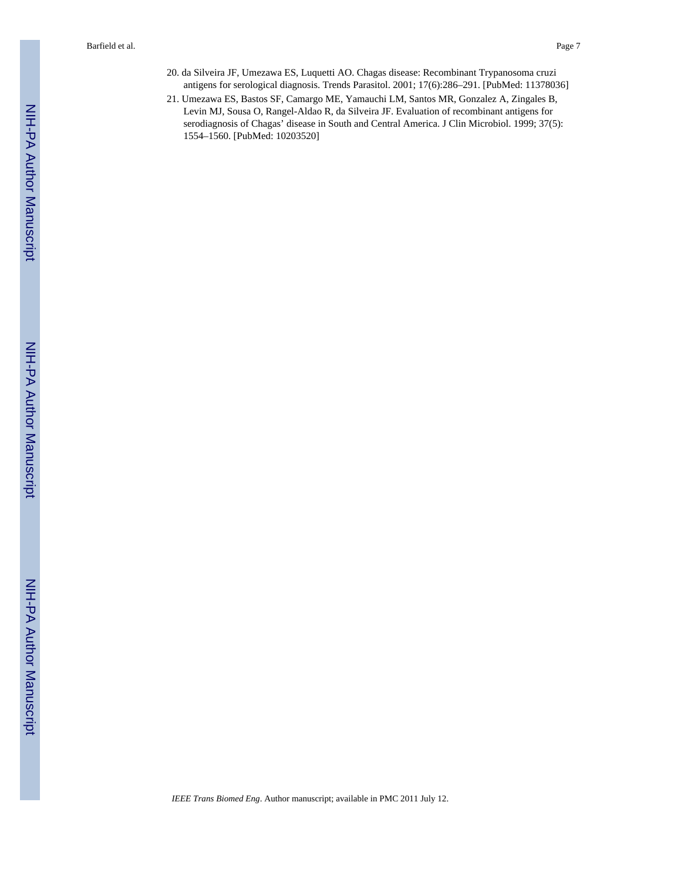- 20. da Silveira JF, Umezawa ES, Luquetti AO. Chagas disease: Recombinant Trypanosoma cruzi antigens for serological diagnosis. Trends Parasitol. 2001; 17(6):286–291. [PubMed: 11378036]
- 21. Umezawa ES, Bastos SF, Camargo ME, Yamauchi LM, Santos MR, Gonzalez A, Zingales B, Levin MJ, Sousa O, Rangel-Aldao R, da Silveira JF. Evaluation of recombinant antigens for serodiagnosis of Chagas' disease in South and Central America. J Clin Microbiol. 1999; 37(5): 1554–1560. [PubMed: 10203520]

NIH-PA Author Manuscript

NIH-PA Author Manuscript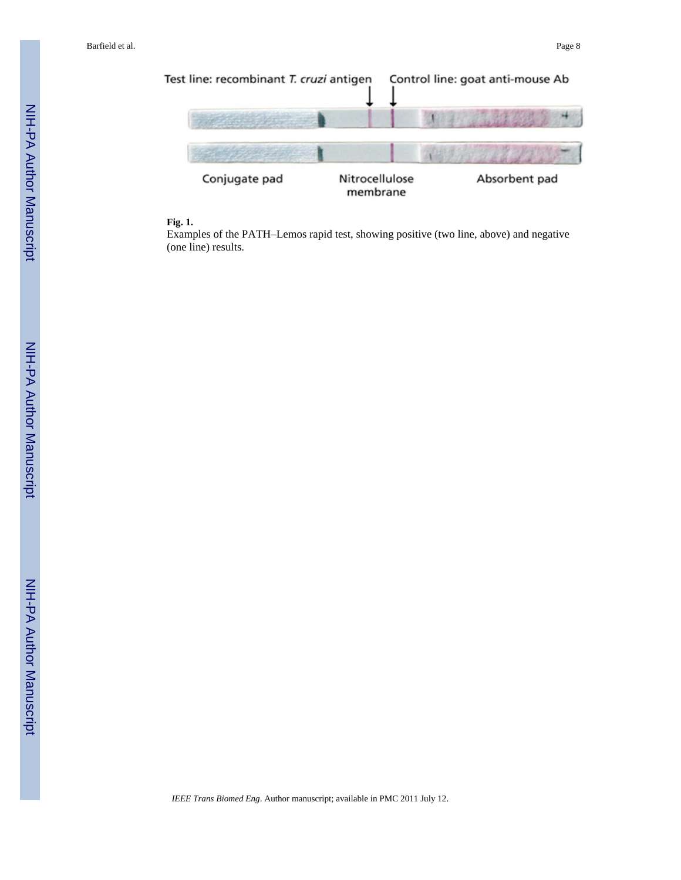

#### **Fig. 1.**

Examples of the PATH–Lemos rapid test, showing positive (two line, above) and negative (one line) results.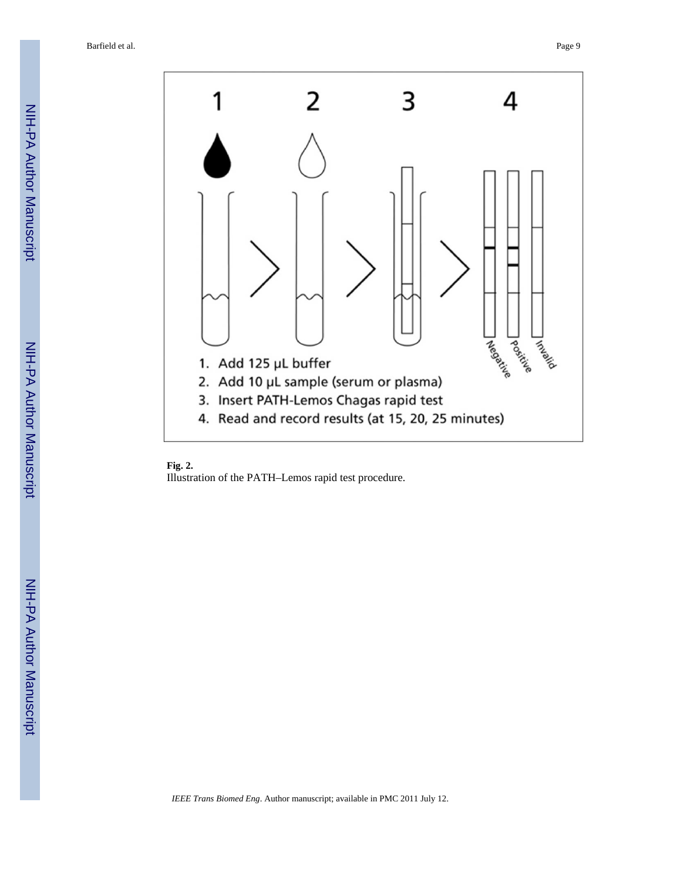



Illustration of the PATH–Lemos rapid test procedure.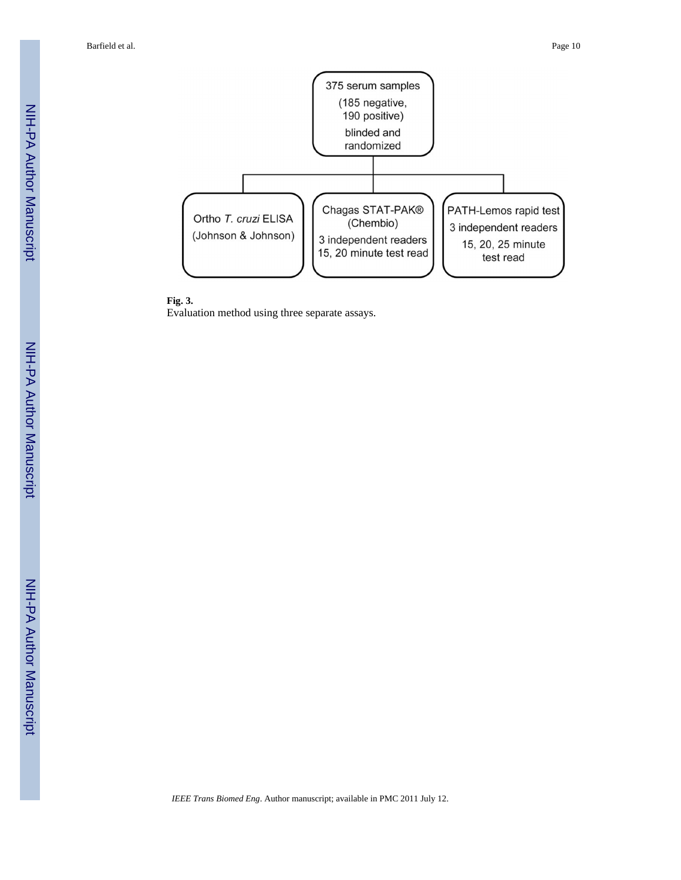



Evaluation method using three separate assays.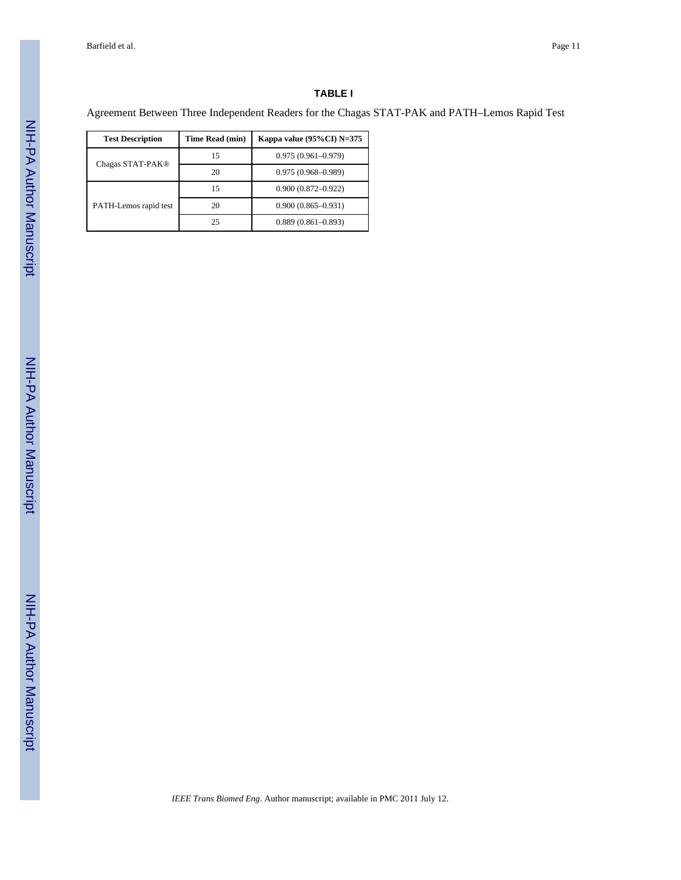## **TABLE I**

Agreement Between Three Independent Readers for the Chagas STAT-PAK and PATH–Lemos Rapid Test

| <b>Test Description</b>      | Kappa value $(95\%CI)$ N=375<br>Time Read (min) |                        |
|------------------------------|-------------------------------------------------|------------------------|
| Chagas STAT-PAK <sup>®</sup> | 15                                              | $0.975(0.961 - 0.979)$ |
|                              | 20                                              | $0.975(0.968 - 0.989)$ |
| PATH-Lemos rapid test        | 15                                              | $0.900(0.872 - 0.922)$ |
|                              | 20                                              | $0.900(0.865 - 0.931)$ |
|                              | 25                                              | $0.889(0.861 - 0.893)$ |